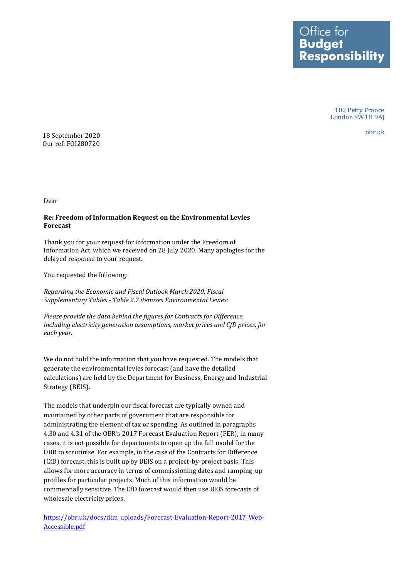Ottice tor **Budget Responsibility** 

> 102 Petty France London SW1H 9AJ

 obr.uk 18 September 2020 Our ref: FOI280720

Dear

## **Re: Freedom of Information Request on the Environmental Levies Forecast**

Thank you for your request for information under the Freedom of Information Act, which we received on 28 July 2020. Many apologies for the delayed response to your request.

You requested the following:

*Regarding the Economic and Fiscal Outlook March 2020, Fiscal Supplementary Tables - Table 2.7 itemises Environmental Levies:* 

*Please provide the data behind the figures for Contracts for Difference, including electricity generation assumptions, market prices and CfD prices, for each year.* 

We do not hold the information that you have requested. The models that generate the environmental levies forecast (and have the detailed calculations) are held by the Department for Business, Energy and Industrial Strategy (BEIS).

The models that underpin our fiscal forecast are typically owned and maintained by other parts of government that are responsible for administrating the element of tax or spending. As outlined in paragraphs 4.30 and 4.31 of the OBR's 2017 Forecast Evaluation Report (FER), in many cases, it is not possible for departments to open up the full model for the OBR to scrutinise. For example, in the case of the Contracts for Difference (CfD) forecast, this is built up by BEIS on a project-by-project basis. This allows for more accuracy in terms of commissioning dates and ramping-up profiles for particular projects. Much of this information would be commercially sensitive. The CfD forecast would then use BEIS forecasts of wholesale electricity prices.

[https://obr.uk/docs/dlm\\_uploads/Forecast-Evaluation-Report-2017\\_Web-](https://obr.uk/docs/dlm_uploads/Forecast-Evaluation-Report-2017_Web-Accessible.pdf)[Accessible.pdf](https://obr.uk/docs/dlm_uploads/Forecast-Evaluation-Report-2017_Web-Accessible.pdf)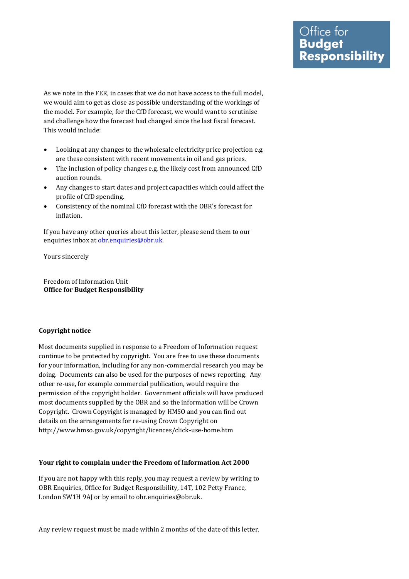As we note in the FER, in cases that we do not have access to the full model, we would aim to get as close as possible understanding of the workings of the model. For example, for the CfD forecast, we would want to scrutinise and challenge how the forecast had changed since the last fiscal forecast. This would include:

- • Looking at any changes to the wholesale electricity price projection e.g. are these consistent with recent movements in oil and gas prices.
- • The inclusion of policy changes e.g. the likely cost from announced CfD auction rounds.
- • Any changes to start dates and project capacities which could affect the profile of CfD spending.
- • Consistency of the nominal CfD forecast with the OBR's forecast for inflation.

 If you have any other queries about this letter, please send them to our enquiries inbox at obr.enquiries@obr.uk.

Yours sincerely

 **Office for Budget Responsibility**  Freedom of Information Unit

## **Copyright notice**

 Most documents supplied in response to a Freedom of Information request continue to be protected by copyright. You are free to use these documents for your information, including for any non-commercial research you may be doing. Documents can also be used for the purposes of news reporting. Any other re-use, for example commercial publication, would require the permission of the copyright holder. Government officials will have produced most documents supplied by the OBR and so the information will be Crown Copyright. Crown Copyright is managed by HMSO and you can find out details on the arrangements for re-using Crown Copyright on <http://www.hmso.gov.uk/copyright/licences/click-use-home.htm>

## **Your right to complain under the Freedom of Information Act 2000**

 If you are not happy with this reply, you may request a review by writing to OBR Enquiries, Office for Budget Responsibility, 14T, 102 Petty France, London SW1H 9AJ or by email to [obr.enquiries@obr.uk](mailto:obr.enquiries@obr.uk).

Any review request must be made within 2 months of the date of this letter.